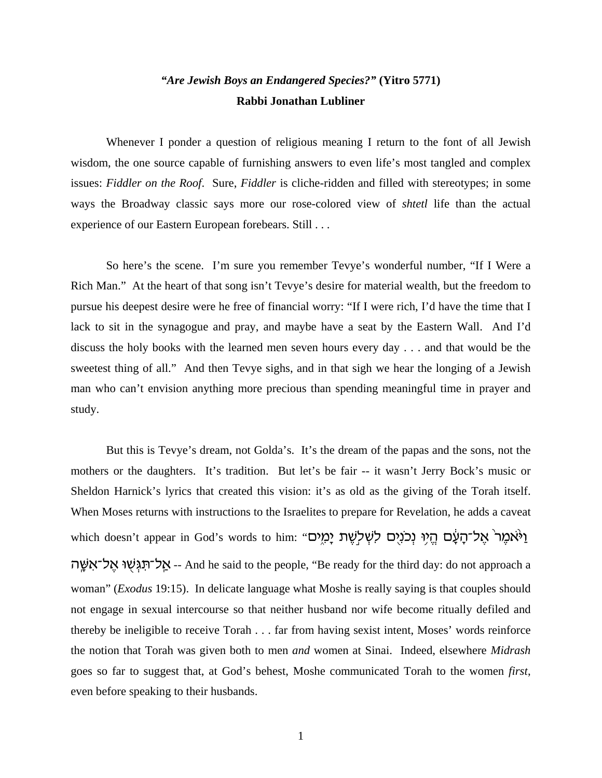## *"Are Jewish Boys an Endangered Species?"* **(Yitro 5771) Rabbi Jonathan Lubliner**

Whenever I ponder a question of religious meaning I return to the font of all Jewish wisdom, the one source capable of furnishing answers to even life's most tangled and complex issues: *Fiddler on the Roof*. Sure, *Fiddler* is cliche-ridden and filled with stereotypes; in some ways the Broadway classic says more our rose-colored view of *shtetl* life than the actual experience of our Eastern European forebears. Still . . .

So here's the scene. I'm sure you remember Tevye's wonderful number, "If I Were a Rich Man." At the heart of that song isn't Tevye's desire for material wealth, but the freedom to pursue his deepest desire were he free of financial worry: "If I were rich, I'd have the time that I lack to sit in the synagogue and pray, and maybe have a seat by the Eastern Wall. And I'd discuss the holy books with the learned men seven hours every day . . . and that would be the sweetest thing of all." And then Tevye sighs, and in that sigh we hear the longing of a Jewish man who can't envision anything more precious than spending meaningful time in prayer and study.

But this is Tevye's dream, not Golda's. It's the dream of the papas and the sons, not the mothers or the daughters. It's tradition. But let's be fair -- it wasn't Jerry Bock's music or Sheldon Harnick's lyrics that created this vision: it's as old as the giving of the Torah itself. When Moses returns with instructions to the Israelites to prepare for Revelation, he adds a caveat which doesn't appear in God's words to him: "נְאֹמֵר ׁאֲל־הָעָם הֵיִי נְכֹנִיִם לִשְׁלְשֶׁת יָמְיִם אַל־תְגִּשׁוּ אֵל־אִשֵּׁה -- And he said to the people, "Be ready for the third day: do not approach a woman" (*Exodus* 19:15). In delicate language what Moshe is really saying is that couples should not engage in sexual intercourse so that neither husband nor wife become ritually defiled and thereby be ineligible to receive Torah . . . far from having sexist intent, Moses' words reinforce the notion that Torah was given both to men *and* women at Sinai. Indeed, elsewhere *Midrash* goes so far to suggest that, at God's behest, Moshe communicated Torah to the women *first*, even before speaking to their husbands.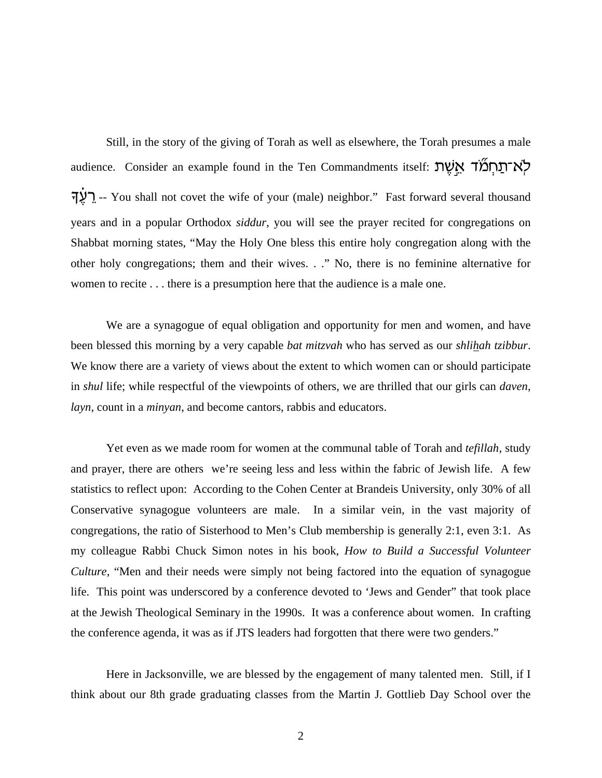Still, in the story of the giving of Torah as well as elsewhere, the Torah presumes a male audience. Consider an example found in the Ten Commandments itself: אִיעָת אֲשֶׁת רֵלֵךְ -- You shall not covet the wife of your (male) neighbor." Fast forward several thousand years and in a popular Orthodox *siddur*, you will see the prayer recited for congregations on Shabbat morning states, "May the Holy One bless this entire holy congregation along with the other holy congregations; them and their wives. . ." No, there is no feminine alternative for women to recite . . . there is a presumption here that the audience is a male one.

We are a synagogue of equal obligation and opportunity for men and women, and have been blessed this morning by a very capable *bat mitzvah* who has served as our *shlihah tzibbur*. We know there are a variety of views about the extent to which women can or should participate in *shul* life; while respectful of the viewpoints of others, we are thrilled that our girls can *daven*, *layn*, count in a *minyan*, and become cantors, rabbis and educators.

Yet even as we made room for women at the communal table of Torah and *tefillah*, study and prayer, there are others we're seeing less and less within the fabric of Jewish life. A few statistics to reflect upon: According to the Cohen Center at Brandeis University, only 30% of all Conservative synagogue volunteers are male. In a similar vein, in the vast majority of congregations, the ratio of Sisterhood to Men's Club membership is generally 2:1, even 3:1. As my colleague Rabbi Chuck Simon notes in his book, *How to Build a Successful Volunteer Culture*, "Men and their needs were simply not being factored into the equation of synagogue life. This point was underscored by a conference devoted to 'Jews and Gender" that took place at the Jewish Theological Seminary in the 1990s. It was a conference about women. In crafting the conference agenda, it was as if JTS leaders had forgotten that there were two genders."

Here in Jacksonville, we are blessed by the engagement of many talented men. Still, if I think about our 8th grade graduating classes from the Martin J. Gottlieb Day School over the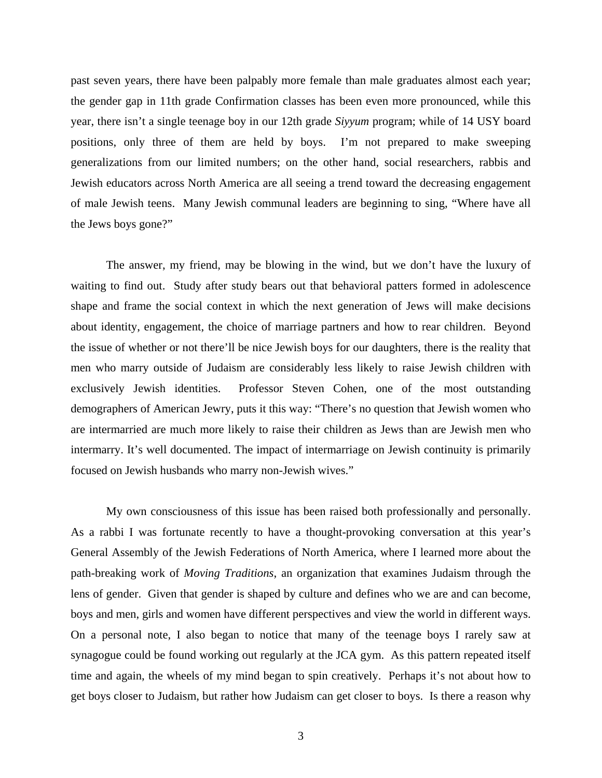past seven years, there have been palpably more female than male graduates almost each year; the gender gap in 11th grade Confirmation classes has been even more pronounced, while this year, there isn't a single teenage boy in our 12th grade *Siyyum* program; while of 14 USY board positions, only three of them are held by boys. I'm not prepared to make sweeping generalizations from our limited numbers; on the other hand, social researchers, rabbis and Jewish educators across North America are all seeing a trend toward the decreasing engagement of male Jewish teens. Many Jewish communal leaders are beginning to sing, "Where have all the Jews boys gone?"

The answer, my friend, may be blowing in the wind, but we don't have the luxury of waiting to find out. Study after study bears out that behavioral patters formed in adolescence shape and frame the social context in which the next generation of Jews will make decisions about identity, engagement, the choice of marriage partners and how to rear children. Beyond the issue of whether or not there'll be nice Jewish boys for our daughters, there is the reality that men who marry outside of Judaism are considerably less likely to raise Jewish children with exclusively Jewish identities. Professor Steven Cohen, one of the most outstanding demographers of American Jewry, puts it this way: "There's no question that Jewish women who are intermarried are much more likely to raise their children as Jews than are Jewish men who intermarry. It's well documented. The impact of intermarriage on Jewish continuity is primarily focused on Jewish husbands who marry non-Jewish wives."

My own consciousness of this issue has been raised both professionally and personally. As a rabbi I was fortunate recently to have a thought-provoking conversation at this year's General Assembly of the Jewish Federations of North America, where I learned more about the path-breaking work of *Moving Traditions*, an organization that examines Judaism through the lens of gender. Given that gender is shaped by culture and defines who we are and can become, boys and men, girls and women have different perspectives and view the world in different ways. On a personal note, I also began to notice that many of the teenage boys I rarely saw at synagogue could be found working out regularly at the JCA gym. As this pattern repeated itself time and again, the wheels of my mind began to spin creatively. Perhaps it's not about how to get boys closer to Judaism, but rather how Judaism can get closer to boys. Is there a reason why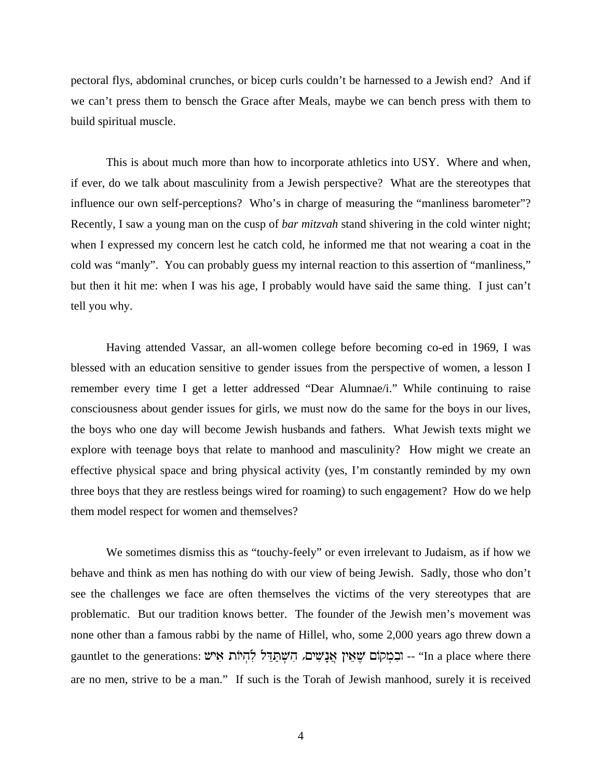pectoral flys, abdominal crunches, or bicep curls couldn't be harnessed to a Jewish end? And if we can't press them to bensch the Grace after Meals, maybe we can bench press with them to build spiritual muscle.

This is about much more than how to incorporate athletics into USY. Where and when, if ever, do we talk about masculinity from a Jewish perspective? What are the stereotypes that influence our own self-perceptions? Who's in charge of measuring the "manliness barometer"? Recently, I saw a young man on the cusp of *bar mitzvah* stand shivering in the cold winter night; when I expressed my concern lest he catch cold, he informed me that not wearing a coat in the cold was "manly". You can probably guess my internal reaction to this assertion of "manliness," but then it hit me: when I was his age, I probably would have said the same thing. I just can't tell you why.

Having attended Vassar, an all-women college before becoming co-ed in 1969, I was blessed with an education sensitive to gender issues from the perspective of women, a lesson I remember every time I get a letter addressed "Dear Alumnae/i." While continuing to raise consciousness about gender issues for girls, we must now do the same for the boys in our lives, the boys who one day will become Jewish husbands and fathers. What Jewish texts might we explore with teenage boys that relate to manhood and masculinity? How might we create an effective physical space and bring physical activity (yes, I'm constantly reminded by my own three boys that they are restless beings wired for roaming) to such engagement? How do we help them model respect for women and themselves?

We sometimes dismiss this as "touchy-feely" or even irrelevant to Judaism, as if how we behave and think as men has nothing do with our view of being Jewish. Sadly, those who don't see the challenges we face are often themselves the victims of the very stereotypes that are problematic. But our tradition knows better. The founder of the Jewish men's movement was none other than a famous rabbi by the name of Hillel, who, some 2,000 years ago threw down a gauntlet to the generations: יוֹתְמִקְל לְהָיוֹת אִישׁ לְחַיֹּה הִאֲלֹאֵי 'In a place where there are no men, strive to be a man." If such is the Torah of Jewish manhood, surely it is received